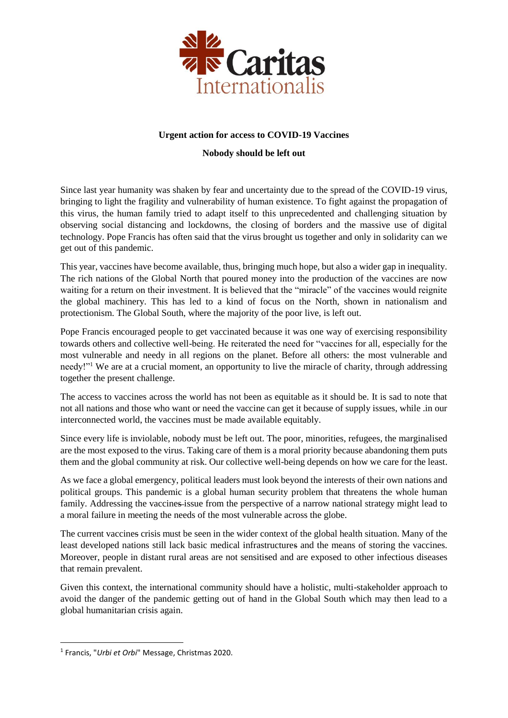

## **Urgent action for access to COVID-19 Vaccines**

## **Nobody should be left out**

Since last year humanity was shaken by fear and uncertainty due to the spread of the COVID-19 virus, bringing to light the fragility and vulnerability of human existence. To fight against the propagation of this virus, the human family tried to adapt itself to this unprecedented and challenging situation by observing social distancing and lockdowns, the closing of borders and the massive use of digital technology. Pope Francis has often said that the virus brought us together and only in solidarity can we get out of this pandemic.

This year, vaccines have become available, thus, bringing much hope, but also a wider gap in inequality. The rich nations of the Global North that poured money into the production of the vaccines are now waiting for a return on their investment. It is believed that the "miracle" of the vaccines would reignite the global machinery. This has led to a kind of focus on the North, shown in nationalism and protectionism. The Global South, where the majority of the poor live, is left out.

Pope Francis encouraged people to get vaccinated because it was one way of exercising responsibility towards others and collective well-being. He reiterated the need for "vaccines for all, especially for the most vulnerable and needy in all regions on the planet. Before all others: the most vulnerable and needy!"<sup>1</sup> We are at a crucial moment, an opportunity to live the miracle of charity, through addressing together the present challenge.

The access to vaccines across the world has not been as equitable as it should be. It is sad to note that not all nations and those who want or need the vaccine can get it because of supply issues, while .in our interconnected world, the vaccines must be made available equitably.

Since every life is inviolable, nobody must be left out. The poor, minorities, refugees, the marginalised are the most exposed to the virus. Taking care of them is a moral priority because abandoning them puts them and the global community at risk. Our collective well-being depends on how we care for the least.

As we face a global emergency, political leaders must look beyond the interests of their own nations and political groups. This pandemic is a global human security problem that threatens the whole human family. Addressing the vaccines-issue from the perspective of a narrow national strategy might lead to a moral failure in meeting the needs of the most vulnerable across the globe.

The current vaccines crisis must be seen in the wider context of the global health situation. Many of the least developed nations still lack basic medical infrastructures and the means of storing the vaccines. Moreover, people in distant rural areas are not sensitised and are exposed to other infectious diseases that remain prevalent.

Given this context, the international community should have a holistic, multi-stakeholder approach to avoid the danger of the pandemic getting out of hand in the Global South which may then lead to a global humanitarian crisis again.

1

<sup>1</sup> Francis, "*Urbi et Orbi*" Message, Christmas 2020.